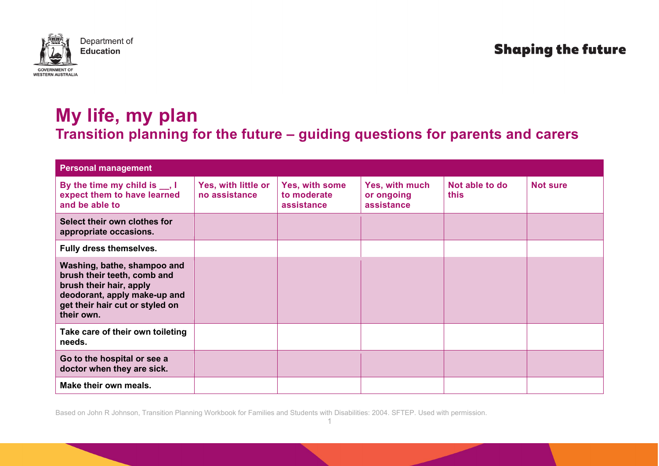

## **Shaping the future**

## **My life, my plan Transition planning for the future – guiding questions for parents and carers**

| <b>Personal management</b>                                                                                                                                             |                                      |                                             |                                            |                        |                 |
|------------------------------------------------------------------------------------------------------------------------------------------------------------------------|--------------------------------------|---------------------------------------------|--------------------------------------------|------------------------|-----------------|
| By the time my child is _, I<br>expect them to have learned<br>and be able to                                                                                          | Yes, with little or<br>no assistance | Yes, with some<br>to moderate<br>assistance | Yes, with much<br>or ongoing<br>assistance | Not able to do<br>this | <b>Not sure</b> |
| Select their own clothes for<br>appropriate occasions.                                                                                                                 |                                      |                                             |                                            |                        |                 |
| Fully dress themselves.                                                                                                                                                |                                      |                                             |                                            |                        |                 |
| Washing, bathe, shampoo and<br>brush their teeth, comb and<br>brush their hair, apply<br>deodorant, apply make-up and<br>get their hair cut or styled on<br>their own. |                                      |                                             |                                            |                        |                 |
| Take care of their own toileting<br>needs.                                                                                                                             |                                      |                                             |                                            |                        |                 |
| Go to the hospital or see a<br>doctor when they are sick.                                                                                                              |                                      |                                             |                                            |                        |                 |
| Make their own meals.                                                                                                                                                  |                                      |                                             |                                            |                        |                 |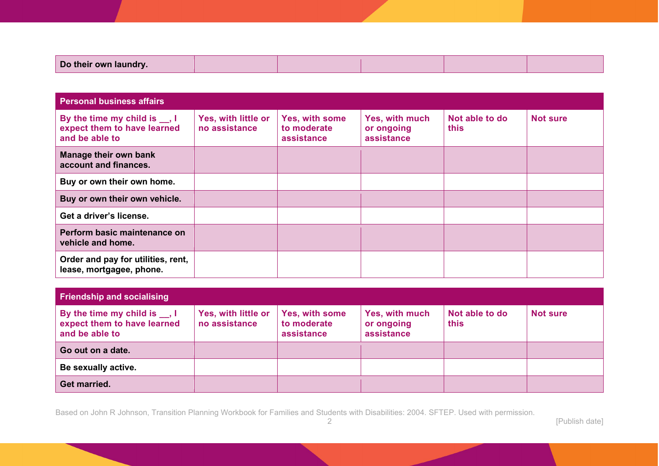|  | Do their own laundry. |  |  |  |
|--|-----------------------|--|--|--|
|--|-----------------------|--|--|--|

| <b>Personal business affairs</b>                                               |                                      |                                             |                                            |                        |                 |  |  |
|--------------------------------------------------------------------------------|--------------------------------------|---------------------------------------------|--------------------------------------------|------------------------|-----------------|--|--|
| By the time my child is __, I<br>expect them to have learned<br>and be able to | Yes, with little or<br>no assistance | Yes, with some<br>to moderate<br>assistance | Yes, with much<br>or ongoing<br>assistance | Not able to do<br>this | <b>Not sure</b> |  |  |
| Manage their own bank<br>account and finances.                                 |                                      |                                             |                                            |                        |                 |  |  |
| Buy or own their own home.                                                     |                                      |                                             |                                            |                        |                 |  |  |
| Buy or own their own vehicle.                                                  |                                      |                                             |                                            |                        |                 |  |  |
| Get a driver's license.                                                        |                                      |                                             |                                            |                        |                 |  |  |
| Perform basic maintenance on<br>vehicle and home.                              |                                      |                                             |                                            |                        |                 |  |  |
| Order and pay for utilities, rent,<br>lease, mortgagee, phone.                 |                                      |                                             |                                            |                        |                 |  |  |

| <b>Friendship and socialising</b>                                                   |                                      |                                             |                                            |                        |                 |
|-------------------------------------------------------------------------------------|--------------------------------------|---------------------------------------------|--------------------------------------------|------------------------|-----------------|
| By the time my child is $\Box$ , I<br>expect them to have learned<br>and be able to | Yes, with little or<br>no assistance | Yes, with some<br>to moderate<br>assistance | Yes, with much<br>or ongoing<br>assistance | Not able to do<br>this | <b>Not sure</b> |
| Go out on a date.                                                                   |                                      |                                             |                                            |                        |                 |
| Be sexually active.                                                                 |                                      |                                             |                                            |                        |                 |
| Get married.                                                                        |                                      |                                             |                                            |                        |                 |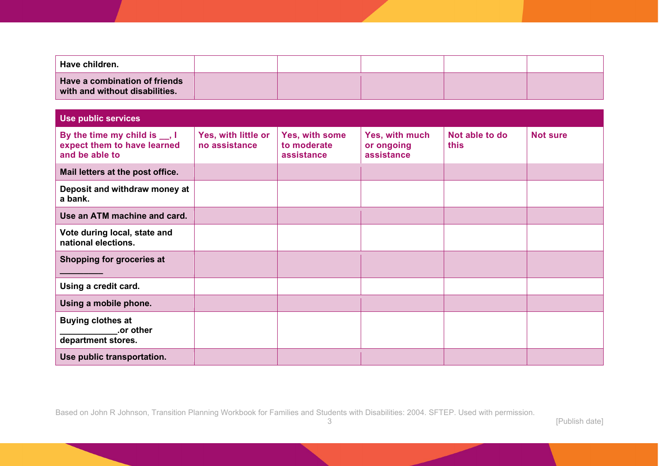| Have children.                                                  |  |  |  |
|-----------------------------------------------------------------|--|--|--|
| Have a combination of friends<br>with and without disabilities. |  |  |  |

| <b>Use public services</b>                                                    |                                      |                                             |                                            |                        |                 |
|-------------------------------------------------------------------------------|--------------------------------------|---------------------------------------------|--------------------------------------------|------------------------|-----------------|
| By the time my child is _, I<br>expect them to have learned<br>and be able to | Yes, with little or<br>no assistance | Yes, with some<br>to moderate<br>assistance | Yes, with much<br>or ongoing<br>assistance | Not able to do<br>this | <b>Not sure</b> |
| Mail letters at the post office.                                              |                                      |                                             |                                            |                        |                 |
| Deposit and withdraw money at<br>a bank.                                      |                                      |                                             |                                            |                        |                 |
| Use an ATM machine and card.                                                  |                                      |                                             |                                            |                        |                 |
| Vote during local, state and<br>national elections.                           |                                      |                                             |                                            |                        |                 |
| Shopping for groceries at                                                     |                                      |                                             |                                            |                        |                 |
| Using a credit card.                                                          |                                      |                                             |                                            |                        |                 |
| Using a mobile phone.                                                         |                                      |                                             |                                            |                        |                 |
| <b>Buying clothes at</b><br>.or other<br>department stores.                   |                                      |                                             |                                            |                        |                 |
| Use public transportation.                                                    |                                      |                                             |                                            |                        |                 |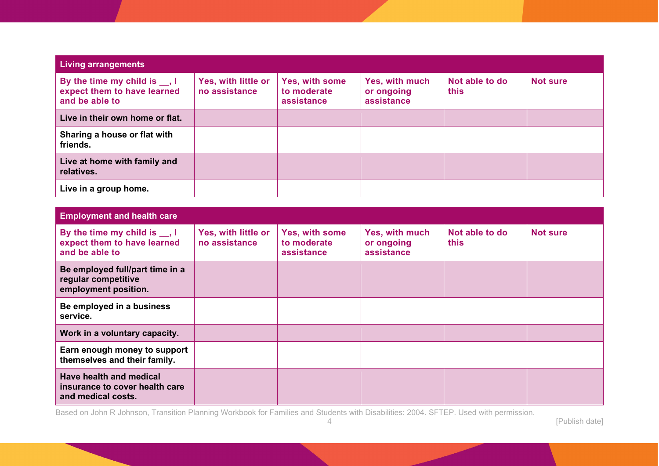| Living arrangements                                                                 |                                      |                                             |                                            |                        |                 |  |  |  |
|-------------------------------------------------------------------------------------|--------------------------------------|---------------------------------------------|--------------------------------------------|------------------------|-----------------|--|--|--|
| By the time my child is $\Box$ , I<br>expect them to have learned<br>and be able to | Yes, with little or<br>no assistance | Yes, with some<br>to moderate<br>assistance | Yes, with much<br>or ongoing<br>assistance | Not able to do<br>this | <b>Not sure</b> |  |  |  |
| Live in their own home or flat.                                                     |                                      |                                             |                                            |                        |                 |  |  |  |
| Sharing a house or flat with<br>friends.                                            |                                      |                                             |                                            |                        |                 |  |  |  |
| Live at home with family and<br>relatives.                                          |                                      |                                             |                                            |                        |                 |  |  |  |
| Live in a group home.                                                               |                                      |                                             |                                            |                        |                 |  |  |  |

| <b>Employment and health care</b>                                                   |                                      |                                             |                                            |                        |                 |
|-------------------------------------------------------------------------------------|--------------------------------------|---------------------------------------------|--------------------------------------------|------------------------|-----------------|
| By the time my child is $\Box$ , I<br>expect them to have learned<br>and be able to | Yes, with little or<br>no assistance | Yes, with some<br>to moderate<br>assistance | Yes, with much<br>or ongoing<br>assistance | Not able to do<br>this | <b>Not sure</b> |
| Be employed full/part time in a<br>regular competitive<br>employment position.      |                                      |                                             |                                            |                        |                 |
| Be employed in a business<br>service.                                               |                                      |                                             |                                            |                        |                 |
| Work in a voluntary capacity.                                                       |                                      |                                             |                                            |                        |                 |
| Earn enough money to support<br>themselves and their family.                        |                                      |                                             |                                            |                        |                 |
| Have health and medical<br>insurance to cover health care<br>and medical costs.     |                                      |                                             |                                            |                        |                 |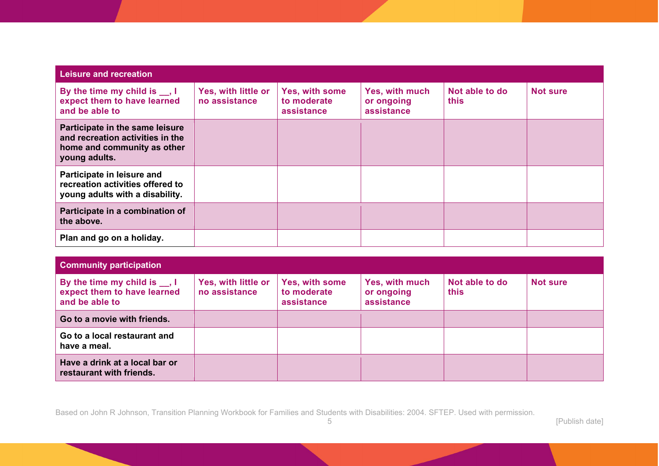| Leisure and recreation                                                                                              |                                      |                                             |                                            |                               |                 |
|---------------------------------------------------------------------------------------------------------------------|--------------------------------------|---------------------------------------------|--------------------------------------------|-------------------------------|-----------------|
| By the time my child is __, I<br>expect them to have learned<br>and be able to                                      | Yes, with little or<br>no assistance | Yes, with some<br>to moderate<br>assistance | Yes, with much<br>or ongoing<br>assistance | Not able to do<br><b>this</b> | <b>Not sure</b> |
| Participate in the same leisure<br>and recreation activities in the<br>home and community as other<br>young adults. |                                      |                                             |                                            |                               |                 |
| Participate in leisure and<br>recreation activities offered to<br>young adults with a disability.                   |                                      |                                             |                                            |                               |                 |
| Participate in a combination of<br>the above.                                                                       |                                      |                                             |                                            |                               |                 |
| Plan and go on a holiday.                                                                                           |                                      |                                             |                                            |                               |                 |

| <b>Community participation</b>                                                      |                                      |                                             |                                            |                        |                 |  |  |  |
|-------------------------------------------------------------------------------------|--------------------------------------|---------------------------------------------|--------------------------------------------|------------------------|-----------------|--|--|--|
| By the time my child is $\Box$ , I<br>expect them to have learned<br>and be able to | Yes, with little or<br>no assistance | Yes, with some<br>to moderate<br>assistance | Yes, with much<br>or ongoing<br>assistance | Not able to do<br>this | <b>Not sure</b> |  |  |  |
| Go to a movie with friends.                                                         |                                      |                                             |                                            |                        |                 |  |  |  |
| Go to a local restaurant and<br>have a meal.                                        |                                      |                                             |                                            |                        |                 |  |  |  |
| Have a drink at a local bar or<br>restaurant with friends.                          |                                      |                                             |                                            |                        |                 |  |  |  |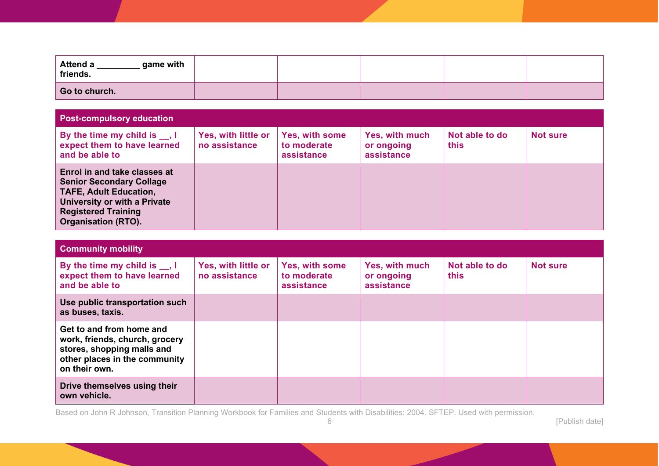| game with<br><b>Attend a</b><br>friends. |  |  |  |
|------------------------------------------|--|--|--|
| Go to church.                            |  |  |  |

| <b>Post-compulsory education</b>                                                                                                                                                             |                                      |                                             |                                            |                        |                 |
|----------------------------------------------------------------------------------------------------------------------------------------------------------------------------------------------|--------------------------------------|---------------------------------------------|--------------------------------------------|------------------------|-----------------|
| By the time my child is $\Box$ , I<br>expect them to have learned<br>and be able to                                                                                                          | Yes, with little or<br>no assistance | Yes, with some<br>to moderate<br>assistance | Yes, with much<br>or ongoing<br>assistance | Not able to do<br>this | <b>Not sure</b> |
| Enrol in and take classes at<br><b>Senior Secondary Collage</b><br><b>TAFE, Adult Education,</b><br>University or with a Private<br><b>Registered Training</b><br><b>Organisation (RTO).</b> |                                      |                                             |                                            |                        |                 |

| <b>Community mobility</b>                                                                                                                  |                                      |                                             |                                            |                        |                 |  |  |  |
|--------------------------------------------------------------------------------------------------------------------------------------------|--------------------------------------|---------------------------------------------|--------------------------------------------|------------------------|-----------------|--|--|--|
| By the time my child is $\Box$ , I<br>expect them to have learned<br>and be able to                                                        | Yes, with little or<br>no assistance | Yes, with some<br>to moderate<br>assistance | Yes, with much<br>or ongoing<br>assistance | Not able to do<br>this | <b>Not sure</b> |  |  |  |
| Use public transportation such<br>as buses, taxis.                                                                                         |                                      |                                             |                                            |                        |                 |  |  |  |
| Get to and from home and<br>work, friends, church, grocery<br>stores, shopping malls and<br>other places in the community<br>on their own. |                                      |                                             |                                            |                        |                 |  |  |  |
| Drive themselves using their<br>own vehicle.                                                                                               |                                      |                                             |                                            |                        |                 |  |  |  |